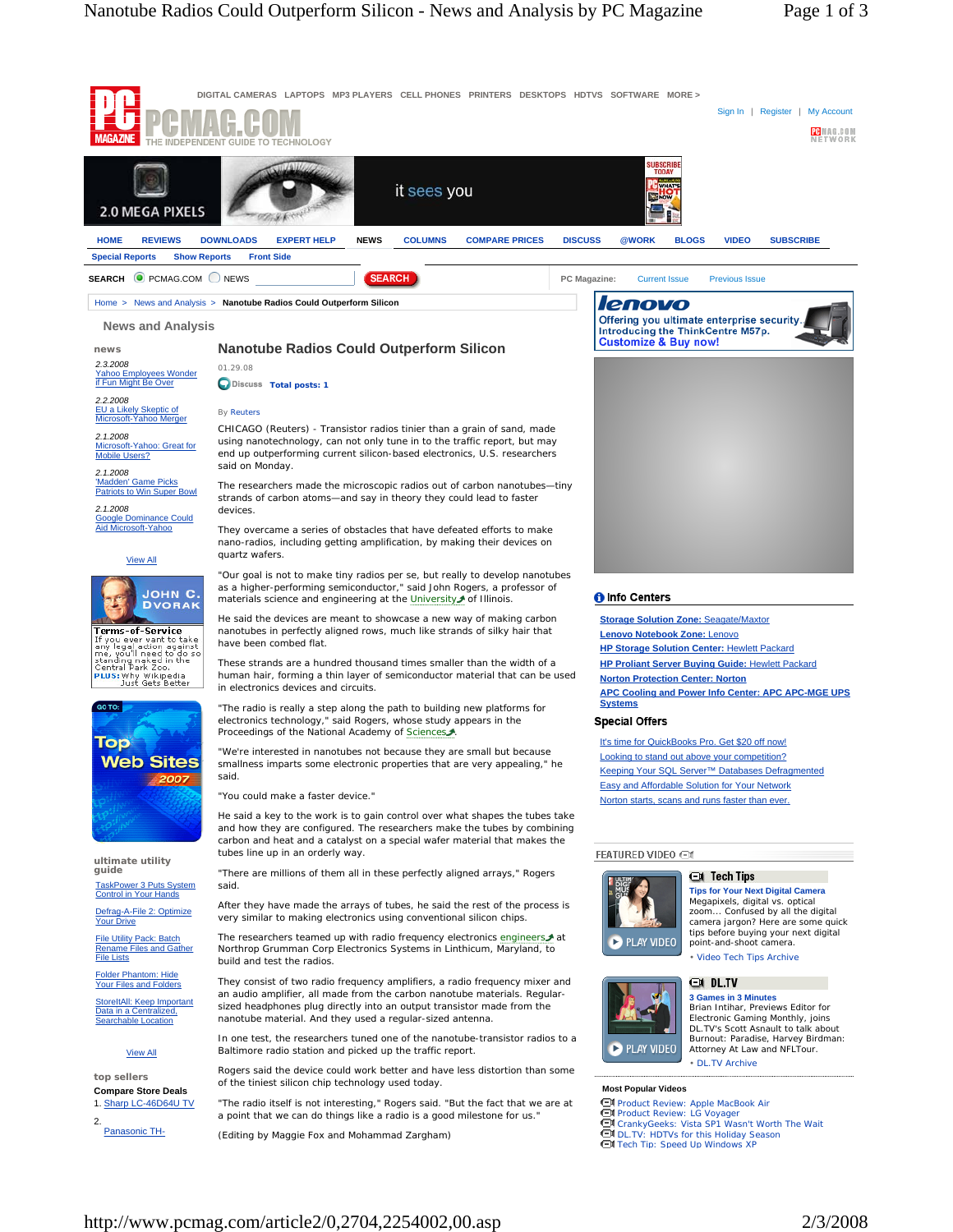